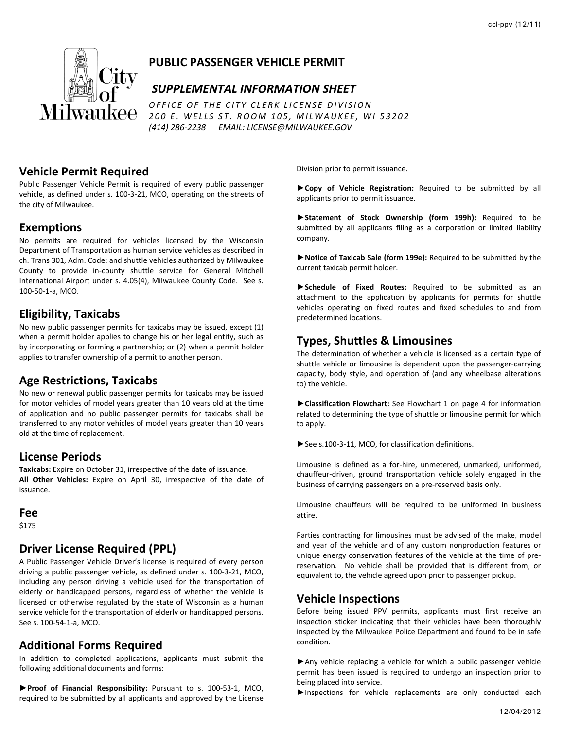

# **PUBLIC PASSENGER VEHICLE PERMIT**

#### *SUPPLEMENTAL INFORMATION SHEET*

*OFFICE O F THE CITY CLERK LICENSE DIVISION 200 E . WELLS ST. ROOM 105, MILWAUKEE, W I 53202 (414) 286‐2238 EMAIL: LICENSE@MILWAUKEE.GOV*

#### **Vehicle Permit Required**

Public Passenger Vehicle Permit is required of every public passenger vehicle, as defined under s. 100‐3‐21, MCO, operating on the streets of the city of Milwaukee.

#### **Exemptions**

No permits are required for vehicles licensed by the Wisconsin Department of Transportation as human service vehicles as described in ch. Trans 301, Adm. Code; and shuttle vehicles authorized by Milwaukee County to provide in‐county shuttle service for General Mitchell International Airport under s. 4.05(4), Milwaukee County Code. See s. 100‐50‐1‐a, MCO.

#### **Eligibility, Taxicabs**

No new public passenger permits for taxicabs may be issued, except (1) when a permit holder applies to change his or her legal entity, such as by incorporating or forming a partnership; or (2) when a permit holder applies to transfer ownership of a permit to another person.

## **Age Restrictions, Taxicabs**

No new or renewal public passenger permits for taxicabs may be issued for motor vehicles of model years greater than 10 years old at the time of application and no public passenger permits for taxicabs shall be transferred to any motor vehicles of model years greater than 10 years old at the time of replacement.

#### **License Periods**

**Taxicabs:** Expire on October 31, irrespective of the date of issuance. **All Other Vehicles:** Expire on April 30, irrespective of the date of issuance.

#### **Fee**

\$175

# **Driver License Required (PPL)**

A Public Passenger Vehicle Driver's license is required of every person driving a public passenger vehicle, as defined under s. 100‐3‐21, MCO, including any person driving a vehicle used for the transportation of elderly or handicapped persons, regardless of whether the vehicle is licensed or otherwise regulated by the state of Wisconsin as a human service vehicle for the transportation of elderly or handicapped persons. See s. 100‐54‐1‐a, MCO.

# **Additional Forms Required**

In addition to completed applications, applicants must submit the following additional documents and forms:

**►Proof of Financial Responsibility:** Pursuant to s. 100‐53‐1, MCO, required to be submitted by all applicants and approved by the License Division prior to permit issuance.

**►Copy of Vehicle Registration:** Required to be submitted by all applicants prior to permit issuance.

**►Statement of Stock Ownership (form 199h):** Required to be submitted by all applicants filing as a corporation or limited liability company.

**►Notice of Taxicab Sale (form 199e):** Required to be submitted by the current taxicab permit holder.

**►Schedule of Fixed Routes:** Required to be submitted as an attachment to the application by applicants for permits for shuttle vehicles operating on fixed routes and fixed schedules to and from predetermined locations.

# **Types, Shuttles & Limousines**

The determination of whether a vehicle is licensed as a certain type of shuttle vehicle or limousine is dependent upon the passenger‐carrying capacity, body style, and operation of (and any wheelbase alterations to) the vehicle.

**►Classification Flowchart:** See Flowchart 1 on page 4 for information related to determining the type of shuttle or limousine permit for which to apply.

**►**See s.100‐3‐11, MCO, for classification definitions.

Limousine is defined as a for‐hire, unmetered, unmarked, uniformed, chauffeur‐driven, ground transportation vehicle solely engaged in the business of carrying passengers on a pre‐reserved basis only.

Limousine chauffeurs will be required to be uniformed in business attire.

Parties contracting for limousines must be advised of the make, model and year of the vehicle and of any custom nonproduction features or unique energy conservation features of the vehicle at the time of pre‐ reservation. No vehicle shall be provided that is different from, or equivalent to, the vehicle agreed upon prior to passenger pickup.

## **Vehicle Inspections**

Before being issued PPV permits, applicants must first receive an inspection sticker indicating that their vehicles have been thoroughly inspected by the Milwaukee Police Department and found to be in safe condition.

►Any vehicle replacing a vehicle for which a public passenger vehicle permit has been issued is required to undergo an inspection prior to being placed into service.

▶Inspections for vehicle replacements are only conducted each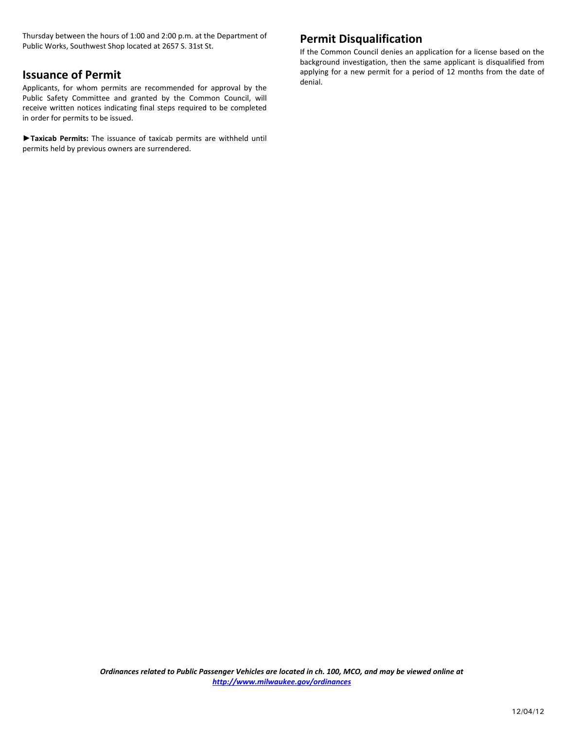Thursday between the hours of 1:00 and 2:00 p.m. at the Department of Public Works, Southwest Shop located at 2657 S. 31st St.

# **Issuance of Permit**

Applicants, for whom permits are recommended for approval by the Public Safety Committee and granted by the Common Council, will receive written notices indicating final steps required to be completed in order for permits to be issued.

**►Taxicab Permits:** The issuance of taxicab permits are withheld until permits held by previous owners are surrendered.

# **Permit Disqualification**

If the Common Council denies an application for a license based on the background investigation, then the same applicant is disqualified from applying for a new permit for a period of 12 months from the date of denial.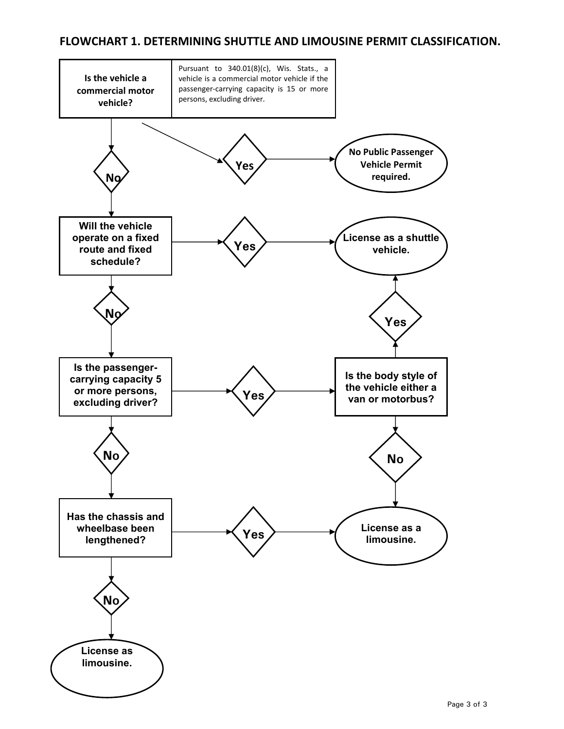# **FLOWCHART 1. DETERMINING SHUTTLE AND LIMOUSINE PERMIT CLASSIFICATION.**

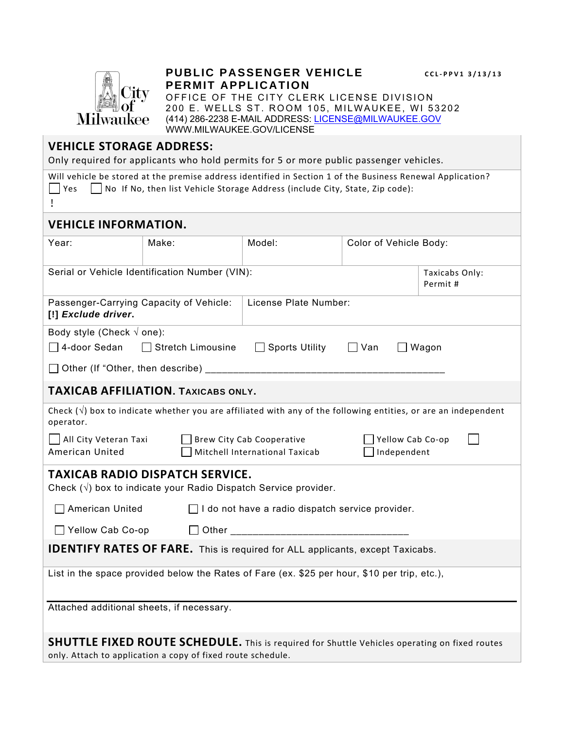

# **PUBLIC PASSENGER VEHICLE** *CCL-PPV1* **3/13/13 PERMIT APPLICATION**

OFFICE OF THE CITY CLERK LICENSE DIVISION 200 E. WELLS ST. ROOM 105, MILWAUKEE, WI 53202 (414) 286-2238 E-MAIL ADDRESS: LICENSE@MILWAUKEE.GOV WWW.MILWAUKEE.GOV/LICENSE

# **VEHICLE STORAGE ADDRESS:**

Only required for applicants who hold permits for 5 or more public passenger vehicles.

|                                                                                                                                                                                                              |       | Only required for applicants who hold permits for 5 or more public passenger vehicles. |                        |                           |
|--------------------------------------------------------------------------------------------------------------------------------------------------------------------------------------------------------------|-------|----------------------------------------------------------------------------------------|------------------------|---------------------------|
| Will vehicle be stored at the premise address identified in Section 1 of the Business Renewal Application?<br>$\Box$ Yes $\Box$ No If No, then list Vehicle Storage Address (include City, State, Zip code): |       |                                                                                        |                        |                           |
| <b>VEHICLE INFORMATION.</b>                                                                                                                                                                                  |       |                                                                                        |                        |                           |
| Year:                                                                                                                                                                                                        | Make: | Model:                                                                                 | Color of Vehicle Body: |                           |
| Serial or Vehicle Identification Number (VIN):                                                                                                                                                               |       |                                                                                        |                        | Taxicabs Only:<br>Permit# |
| Passenger-Carrying Capacity of Vehicle:<br>License Plate Number:<br>[!] Exclude driver.                                                                                                                      |       |                                                                                        |                        |                           |
| Body style (Check $\sqrt{ }$ one):                                                                                                                                                                           |       |                                                                                        |                        |                           |
| $\Box$ 4-door Sedan<br>$\Box$ Stretch Limousine<br>□ Sports Utility<br>$\Box$ Van<br>$\Box$ Wagon                                                                                                            |       |                                                                                        |                        |                           |
|                                                                                                                                                                                                              |       |                                                                                        |                        |                           |
| <b>TAXICAB AFFILIATION. TAXICABS ONLY.</b>                                                                                                                                                                   |       |                                                                                        |                        |                           |
| Check $(\sqrt{ } )$ box to indicate whether you are affiliated with any of the following entities, or are an independent<br>operator.                                                                        |       |                                                                                        |                        |                           |
| All City Veteran Taxi<br>$\Box$ Brew City Cab Cooperative<br>Yellow Cab Co-op<br>American United<br>Mitchell International Taxicab<br>$\Box$ Independent                                                     |       |                                                                                        |                        |                           |
| <b>TAXICAB RADIO DISPATCH SERVICE.</b><br>Check $(\sqrt{ } )$ box to indicate your Radio Dispatch Service provider.                                                                                          |       |                                                                                        |                        |                           |
|                                                                                                                                                                                                              |       |                                                                                        |                        |                           |
| $\Box$ American United<br>$\Box$ I do not have a radio dispatch service provider.                                                                                                                            |       |                                                                                        |                        |                           |
| Yellow Cab Co-op                                                                                                                                                                                             |       |                                                                                        |                        |                           |
| <b>IDENTIFY RATES OF FARE.</b> This is required for ALL applicants, except Taxicabs.                                                                                                                         |       |                                                                                        |                        |                           |
| List in the space provided below the Rates of Fare (ex. \$25 per hour, \$10 per trip, etc.),                                                                                                                 |       |                                                                                        |                        |                           |
| Attached additional sheets, if necessary.                                                                                                                                                                    |       |                                                                                        |                        |                           |
| <b>SHUTTLE FIXED ROUTE SCHEDULE.</b> This is required for Shuttle Vehicles operating on fixed routes                                                                                                         |       |                                                                                        |                        |                           |

only. Attach to application a copy of fixed route schedule.